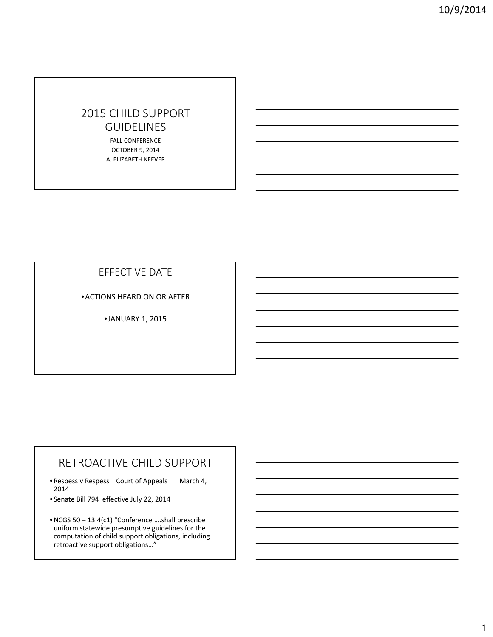# 2015 CHILD SUPPORT GUIDELINES

FALL CONFERENCE OCTOBER 9, 2014 A. ELIZABETH KEEVER

EFFECTIVE DATE

•ACTIONS HEARD ON OR AFTER

•JANUARY 1, 2015

# RETROACTIVE CHILD SUPPORT

- Respess v Respess Court of Appeals March 4, 2014
- Senate Bill 794 effective July 22, 2014
- •NCGS 50 13.4(c1) "Conference ….shall prescribe uniform statewide presumptive guidelines for the computation of child support obligations, including retroactive support obligations…"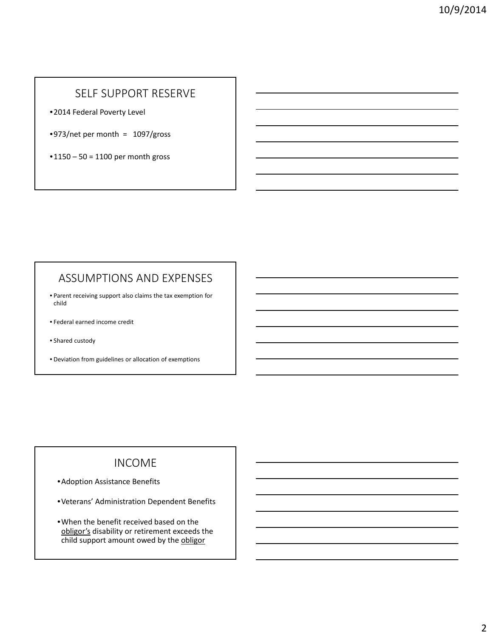## SELF SUPPORT RESERVE

•2014 Federal Poverty Level

 $•973/net$  per month = 1097/gross

 $•1150 - 50 = 1100$  per month gross

#### ASSUMPTIONS AND EXPENSES

- Parent receiving support also claims the tax exemption for child
- Federal earned income credit
- Shared custody
- Deviation from guidelines or allocation of exemptions

## INCOME

- •Adoption Assistance Benefits
- •Veterans' Administration Dependent Benefits
- •When the benefit received based on the obligor's disability or retirement exceeds the child support amount owed by the obligor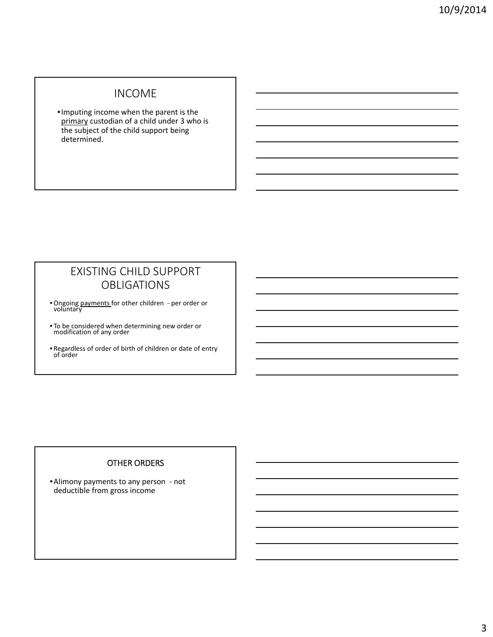### INCOME

•Imputing income when the parent is the primary custodian of a child under 3 who is the subject of the child support being determined.

## EXISTING CHILD SUPPORT OBLIGATIONS

- Ongoing payments for other children ‐ per order or voluntary
- To be considered when determining new order or modification of any order
- Regardless of order of birth of children or date of entry of order

#### OTHER ORDERS

•Alimony payments to any person ‐ not deductible from gross income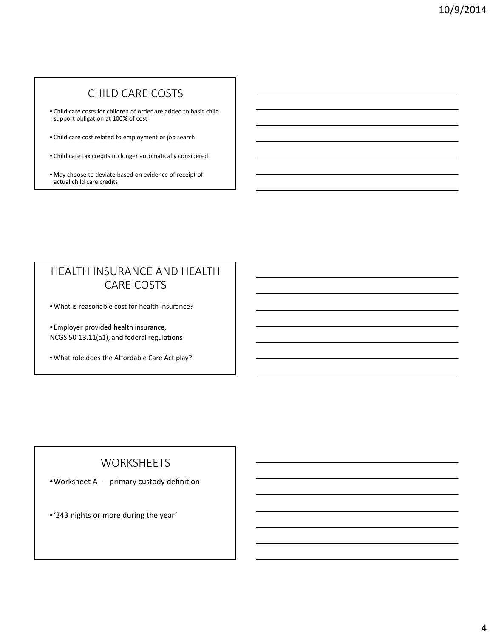# CHILD CARE COSTS

- Child care costs for children of order are added to basic child support obligation at 100% of cost
- Child care cost related to employment or job search
- Child care tax credits no longer automatically considered
- May choose to deviate based on evidence of receipt of actual child care credits

## HEALTH INSURANCE AND HEALTH CARE COSTS

• What is reasonable cost for health insurance?

• Employer provided health insurance, NCGS 50‐13.11(a1), and federal regulations

• What role does the Affordable Care Act play?

#### WORKSHEETS

•Worksheet A ‐ primary custody definition

•'243 nights or more during the year'